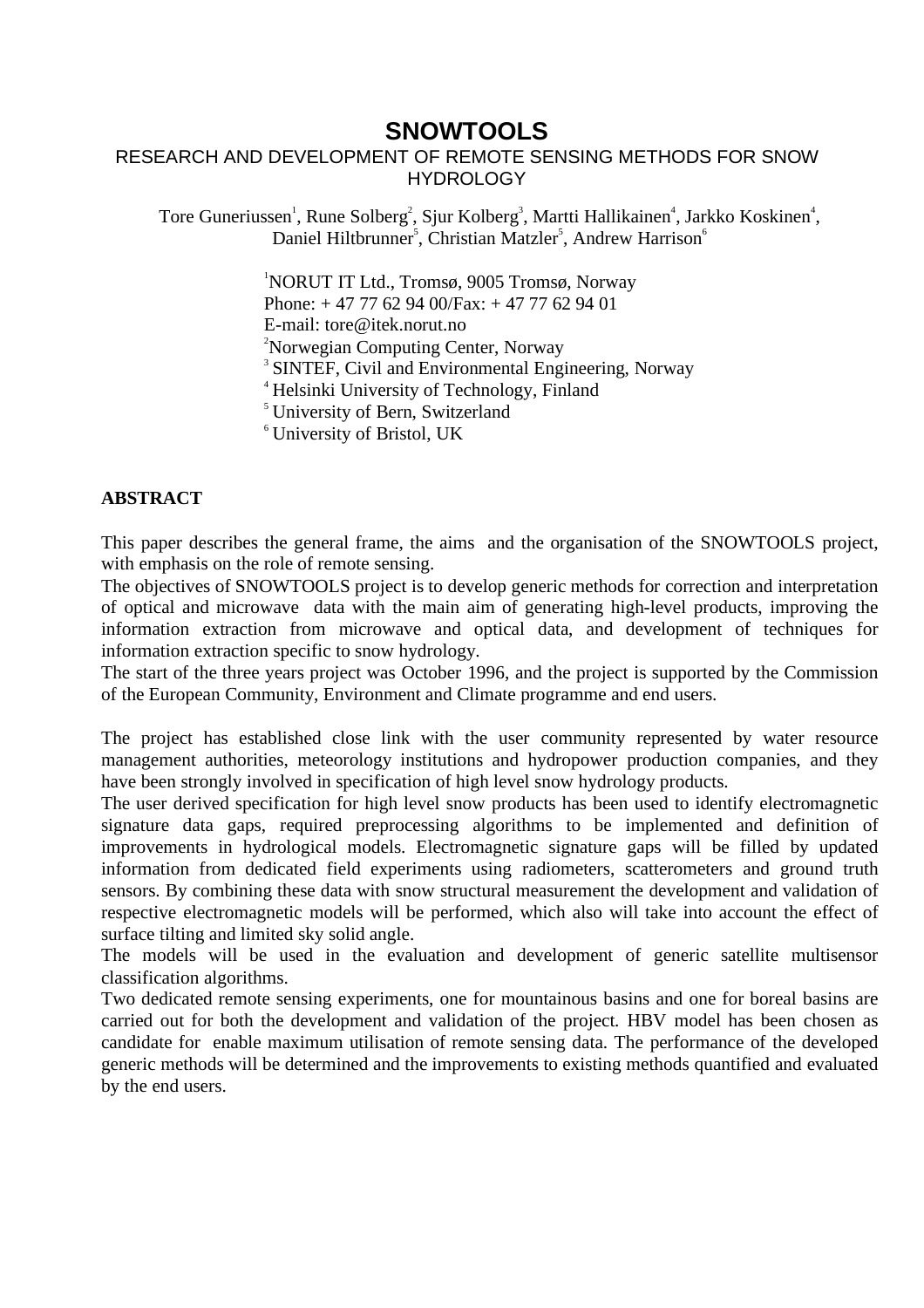### **SNOWTOOLS**

### RESEARCH AND DEVELOPMENT OF REMOTE SENSING METHODS FOR SNOW **HYDROLOGY**

Tore Guneriussen<sup>1</sup>, Rune Solberg<sup>2</sup>, Sjur Kolberg<sup>3</sup>, Martti Hallikainen<sup>4</sup>, Jarkko Koskinen<sup>4</sup>, Daniel Hiltbrunner<sup>5</sup>, Christian Matzler<sup>5</sup>, Andrew Harrison<sup>6</sup>

> <sup>1</sup>NORUT IT Ltd., Tromsø, 9005 Tromsø, Norway Phone: + 47 77 62 94 00/Fax: + 47 77 62 94 01 E-mail: tore@itek.norut.no <sup>2</sup>Norwegian Computing Center, Norway <sup>3</sup> SINTEF, Civil and Environmental Engineering, Norway <sup>4</sup> Helsinki University of Technology, Finland <sup>5</sup> University of Bern, Switzerland

<sup>6</sup> University of Bristol, UK

### **ABSTRACT**

This paper describes the general frame, the aims and the organisation of the SNOWTOOLS project, with emphasis on the role of remote sensing.

The objectives of SNOWTOOLS project is to develop generic methods for correction and interpretation of optical and microwave data with the main aim of generating high-level products, improving the information extraction from microwave and optical data, and development of techniques for information extraction specific to snow hydrology.

The start of the three years project was October 1996, and the project is supported by the Commission of the European Community, Environment and Climate programme and end users.

The project has established close link with the user community represented by water resource management authorities, meteorology institutions and hydropower production companies, and they have been strongly involved in specification of high level snow hydrology products.

The user derived specification for high level snow products has been used to identify electromagnetic signature data gaps, required preprocessing algorithms to be implemented and definition of improvements in hydrological models. Electromagnetic signature gaps will be filled by updated information from dedicated field experiments using radiometers, scatterometers and ground truth sensors. By combining these data with snow structural measurement the development and validation of respective electromagnetic models will be performed, which also will take into account the effect of surface tilting and limited sky solid angle.

The models will be used in the evaluation and development of generic satellite multisensor classification algorithms.

Two dedicated remote sensing experiments, one for mountainous basins and one for boreal basins are carried out for both the development and validation of the project. HBV model has been chosen as candidate for enable maximum utilisation of remote sensing data. The performance of the developed generic methods will be determined and the improvements to existing methods quantified and evaluated by the end users.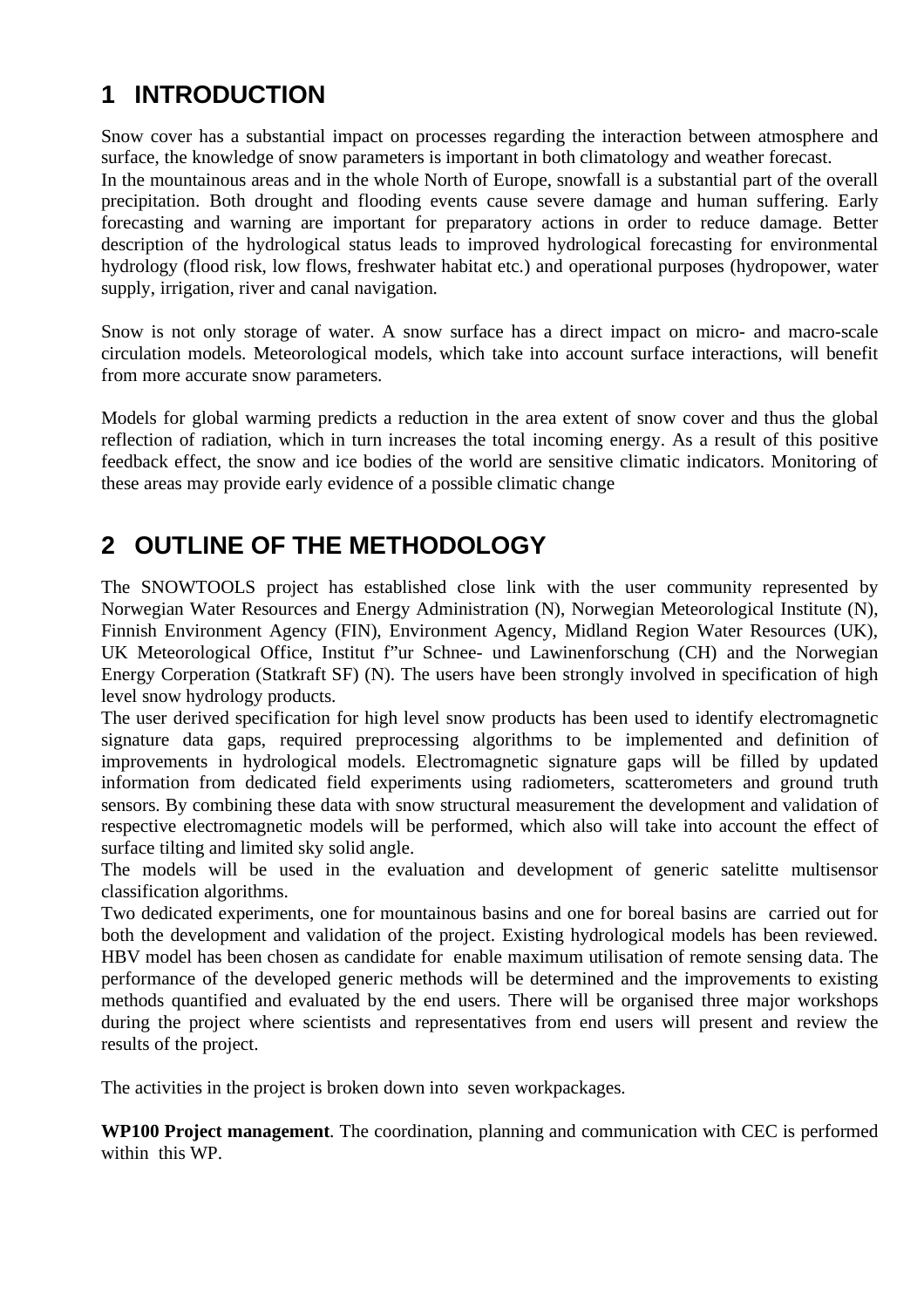# **1 INTRODUCTION**

Snow cover has a substantial impact on processes regarding the interaction between atmosphere and surface, the knowledge of snow parameters is important in both climatology and weather forecast. In the mountainous areas and in the whole North of Europe, snowfall is a substantial part of the overall precipitation. Both drought and flooding events cause severe damage and human suffering. Early forecasting and warning are important for preparatory actions in order to reduce damage. Better description of the hydrological status leads to improved hydrological forecasting for environmental hydrology (flood risk, low flows, freshwater habitat etc.) and operational purposes (hydropower, water supply, irrigation, river and canal navigation.

Snow is not only storage of water. A snow surface has a direct impact on micro- and macro-scale circulation models. Meteorological models, which take into account surface interactions, will benefit from more accurate snow parameters.

Models for global warming predicts a reduction in the area extent of snow cover and thus the global reflection of radiation, which in turn increases the total incoming energy. As a result of this positive feedback effect, the snow and ice bodies of the world are sensitive climatic indicators. Monitoring of these areas may provide early evidence of a possible climatic change

# **2 OUTLINE OF THE METHODOLOGY**

The SNOWTOOLS project has established close link with the user community represented by Norwegian Water Resources and Energy Administration (N), Norwegian Meteorological Institute (N), Finnish Environment Agency (FIN), Environment Agency, Midland Region Water Resources (UK), UK Meteorological Office, Institut f"ur Schnee- und Lawinenforschung (CH) and the Norwegian Energy Corperation (Statkraft SF) (N). The users have been strongly involved in specification of high level snow hydrology products.

The user derived specification for high level snow products has been used to identify electromagnetic signature data gaps, required preprocessing algorithms to be implemented and definition of improvements in hydrological models. Electromagnetic signature gaps will be filled by updated information from dedicated field experiments using radiometers, scatterometers and ground truth sensors. By combining these data with snow structural measurement the development and validation of respective electromagnetic models will be performed, which also will take into account the effect of surface tilting and limited sky solid angle.

The models will be used in the evaluation and development of generic satelitte multisensor classification algorithms.

Two dedicated experiments, one for mountainous basins and one for boreal basins are carried out for both the development and validation of the project. Existing hydrological models has been reviewed. HBV model has been chosen as candidate for enable maximum utilisation of remote sensing data. The performance of the developed generic methods will be determined and the improvements to existing methods quantified and evaluated by the end users. There will be organised three major workshops during the project where scientists and representatives from end users will present and review the results of the project.

The activities in the project is broken down into seven workpackages.

**WP100 Project management**. The coordination, planning and communication with CEC is performed within this WP.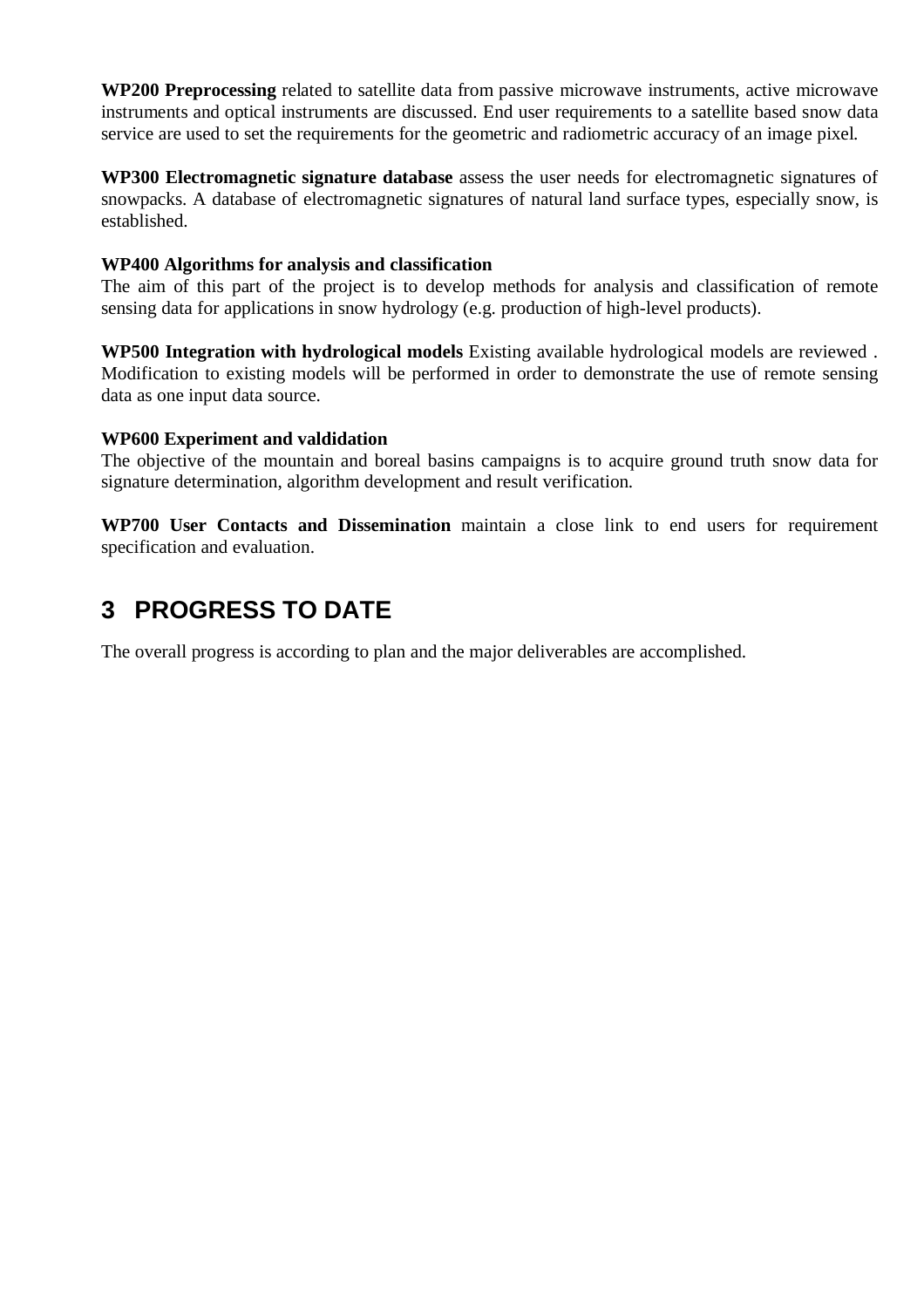**WP200 Preprocessing** related to satellite data from passive microwave instruments, active microwave instruments and optical instruments are discussed. End user requirements to a satellite based snow data service are used to set the requirements for the geometric and radiometric accuracy of an image pixel.

**WP300 Electromagnetic signature database** assess the user needs for electromagnetic signatures of snowpacks. A database of electromagnetic signatures of natural land surface types, especially snow, is established.

#### **WP400 Algorithms for analysis and classification**

The aim of this part of the project is to develop methods for analysis and classification of remote sensing data for applications in snow hydrology (e.g. production of high-level products).

**WP500 Integration with hydrological models** Existing available hydrological models are reviewed . Modification to existing models will be performed in order to demonstrate the use of remote sensing data as one input data source.

### **WP600 Experiment and valdidation**

The objective of the mountain and boreal basins campaigns is to acquire ground truth snow data for signature determination, algorithm development and result verification.

**WP700 User Contacts and Dissemination** maintain a close link to end users for requirement specification and evaluation.

## **3 PROGRESS TO DATE**

The overall progress is according to plan and the major deliverables are accomplished.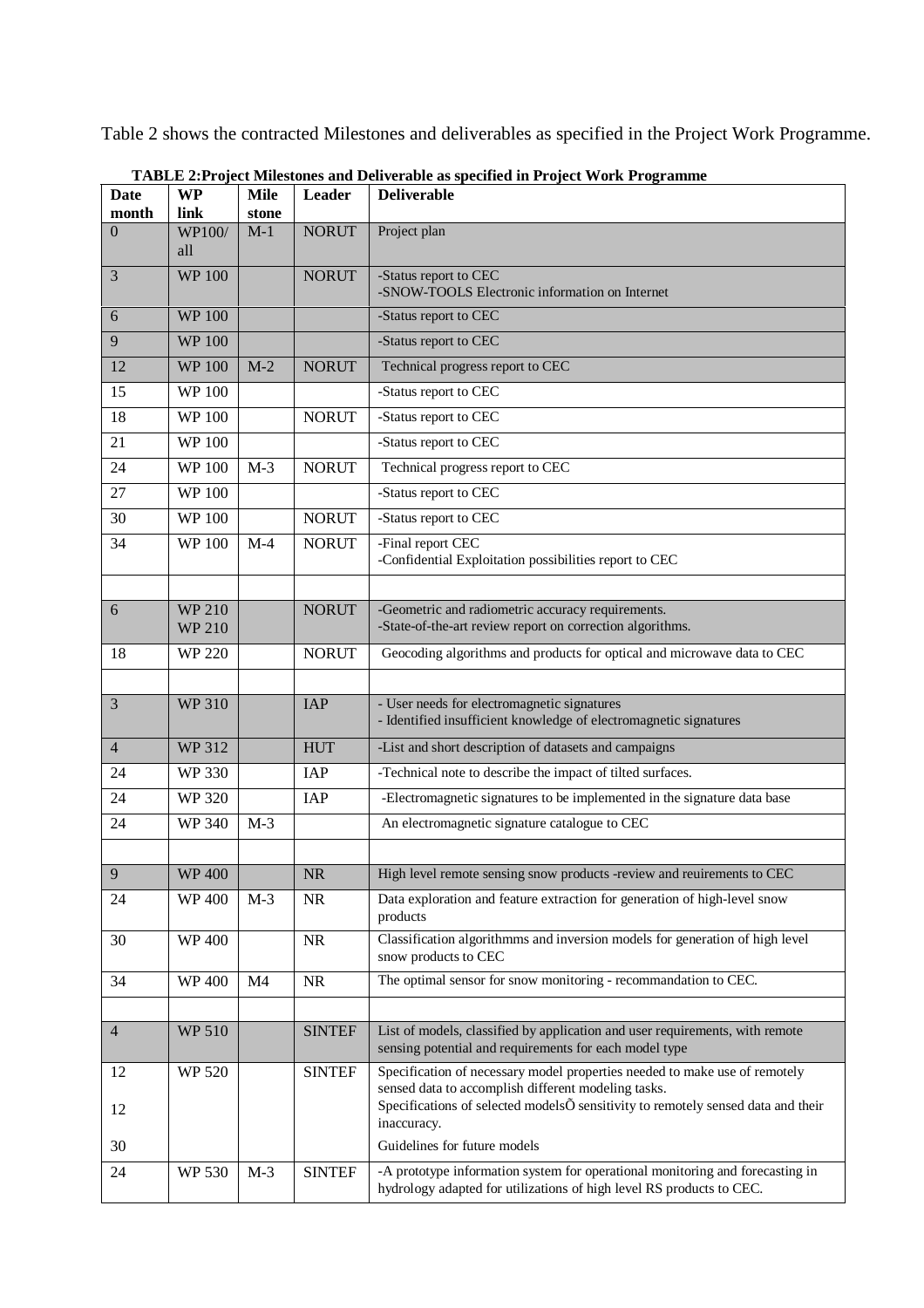Table 2 shows the contracted Milestones and deliverables as specified in the Project Work Programme.

| WP100/<br>$M-1$<br>Project plan<br><b>NORUT</b><br>$\theta$<br>all<br><b>WP100</b><br>3<br><b>NORUT</b><br>-Status report to CEC<br>-SNOW-TOOLS Electronic information on Internet<br><b>WP100</b><br>-Status report to CEC<br>6<br>-Status report to CEC<br>9<br><b>WP 100</b><br><b>WP100</b><br>$M-2$<br><b>NORUT</b><br>Technical progress report to CEC<br>12<br>-Status report to CEC<br>15<br><b>WP100</b><br>18<br><b>WP100</b><br><b>NORUT</b><br>-Status report to CEC<br><b>WP100</b><br>21<br>-Status report to CEC<br>Technical progress report to CEC<br>$M-3$<br>24<br><b>WP 100</b><br><b>NORUT</b><br><b>WP100</b><br>-Status report to CEC<br>27<br><b>WP100</b><br><b>NORUT</b><br>-Status report to CEC<br>30<br>-Final report CEC<br>34<br><b>WP100</b><br>$M-4$<br><b>NORUT</b><br>-Confidential Exploitation possibilities report to CEC<br><b>WP 210</b><br>-Geometric and radiometric accuracy requirements.<br>6<br><b>NORUT</b><br>-State-of-the-art review report on correction algorithms.<br><b>WP 210</b><br>Geocoding algorithms and products for optical and microwave data to CEC<br>18<br><b>WP 220</b><br><b>NORUT</b><br>- User needs for electromagnetic signatures<br>3<br><b>WP 310</b><br><b>IAP</b><br>- Identified insufficient knowledge of electromagnetic signatures<br>-List and short description of datasets and campaigns<br><b>WP 312</b><br><b>HUT</b><br>$\overline{4}$<br><b>WP 330</b><br>IAP<br>24<br>-Technical note to describe the impact of tilted surfaces.<br>-Electromagnetic signatures to be implemented in the signature data base<br><b>WP 320</b><br><b>IAP</b><br>24<br>24<br><b>WP 340</b><br>$M-3$<br>An electromagnetic signature catalogue to CEC<br>9<br><b>WP400</b><br><b>NR</b><br>High level remote sensing snow products -review and reuirements to CEC<br>24<br><b>WP400</b><br>$M-3$<br>Data exploration and feature extraction for generation of high-level snow<br><b>NR</b><br>products<br>NR<br>30<br><b>WP400</b><br>Classification algorithmms and inversion models for generation of high level<br>snow products to CEC<br>The optimal sensor for snow monitoring - recommandation to CEC.<br>34<br><b>WP400</b><br>M <sub>4</sub><br>NR<br>List of models, classified by application and user requirements, with remote<br>$\overline{4}$<br><b>WP 510</b><br><b>SINTEF</b><br>sensing potential and requirements for each model type<br><b>WP 520</b><br><b>SINTEF</b><br>Specification of necessary model properties needed to make use of remotely<br>12<br>sensed data to accomplish different modeling tasks.<br>Specifications of selected modelsO sensitivity to remotely sensed data and their<br>12<br>inaccuracy.<br>Guidelines for future models<br>30<br><b>SINTEF</b><br><b>WP 530</b><br>$M-3$<br>-A prototype information system for operational monitoring and forecasting in<br>24<br>hydrology adapted for utilizations of high level RS products to CEC. | <b>Date</b> | <b>WP</b> | <b>Mile</b> | Leader | <b>Deliverable</b> |
|----------------------------------------------------------------------------------------------------------------------------------------------------------------------------------------------------------------------------------------------------------------------------------------------------------------------------------------------------------------------------------------------------------------------------------------------------------------------------------------------------------------------------------------------------------------------------------------------------------------------------------------------------------------------------------------------------------------------------------------------------------------------------------------------------------------------------------------------------------------------------------------------------------------------------------------------------------------------------------------------------------------------------------------------------------------------------------------------------------------------------------------------------------------------------------------------------------------------------------------------------------------------------------------------------------------------------------------------------------------------------------------------------------------------------------------------------------------------------------------------------------------------------------------------------------------------------------------------------------------------------------------------------------------------------------------------------------------------------------------------------------------------------------------------------------------------------------------------------------------------------------------------------------------------------------------------------------------------------------------------------------------------------------------------------------------------------------------------------------------------------------------------------------------------------------------------------------------------------------------------------------------------------------------------------------------------------------------------------------------------------------------------------------------------------------------------------------------------------------------------------------------------------------------------------------------------------------------------------------------------------------------------------------------------------------------------------------------------------------------------------------------------------------------------------------------------------------------------------------------------------------------------------------------------------------------------------------------------|-------------|-----------|-------------|--------|--------------------|
|                                                                                                                                                                                                                                                                                                                                                                                                                                                                                                                                                                                                                                                                                                                                                                                                                                                                                                                                                                                                                                                                                                                                                                                                                                                                                                                                                                                                                                                                                                                                                                                                                                                                                                                                                                                                                                                                                                                                                                                                                                                                                                                                                                                                                                                                                                                                                                                                                                                                                                                                                                                                                                                                                                                                                                                                                                                                                                                                                                      | month       | link      | stone       |        |                    |
|                                                                                                                                                                                                                                                                                                                                                                                                                                                                                                                                                                                                                                                                                                                                                                                                                                                                                                                                                                                                                                                                                                                                                                                                                                                                                                                                                                                                                                                                                                                                                                                                                                                                                                                                                                                                                                                                                                                                                                                                                                                                                                                                                                                                                                                                                                                                                                                                                                                                                                                                                                                                                                                                                                                                                                                                                                                                                                                                                                      |             |           |             |        |                    |
|                                                                                                                                                                                                                                                                                                                                                                                                                                                                                                                                                                                                                                                                                                                                                                                                                                                                                                                                                                                                                                                                                                                                                                                                                                                                                                                                                                                                                                                                                                                                                                                                                                                                                                                                                                                                                                                                                                                                                                                                                                                                                                                                                                                                                                                                                                                                                                                                                                                                                                                                                                                                                                                                                                                                                                                                                                                                                                                                                                      |             |           |             |        |                    |
|                                                                                                                                                                                                                                                                                                                                                                                                                                                                                                                                                                                                                                                                                                                                                                                                                                                                                                                                                                                                                                                                                                                                                                                                                                                                                                                                                                                                                                                                                                                                                                                                                                                                                                                                                                                                                                                                                                                                                                                                                                                                                                                                                                                                                                                                                                                                                                                                                                                                                                                                                                                                                                                                                                                                                                                                                                                                                                                                                                      |             |           |             |        |                    |
|                                                                                                                                                                                                                                                                                                                                                                                                                                                                                                                                                                                                                                                                                                                                                                                                                                                                                                                                                                                                                                                                                                                                                                                                                                                                                                                                                                                                                                                                                                                                                                                                                                                                                                                                                                                                                                                                                                                                                                                                                                                                                                                                                                                                                                                                                                                                                                                                                                                                                                                                                                                                                                                                                                                                                                                                                                                                                                                                                                      |             |           |             |        |                    |
|                                                                                                                                                                                                                                                                                                                                                                                                                                                                                                                                                                                                                                                                                                                                                                                                                                                                                                                                                                                                                                                                                                                                                                                                                                                                                                                                                                                                                                                                                                                                                                                                                                                                                                                                                                                                                                                                                                                                                                                                                                                                                                                                                                                                                                                                                                                                                                                                                                                                                                                                                                                                                                                                                                                                                                                                                                                                                                                                                                      |             |           |             |        |                    |
|                                                                                                                                                                                                                                                                                                                                                                                                                                                                                                                                                                                                                                                                                                                                                                                                                                                                                                                                                                                                                                                                                                                                                                                                                                                                                                                                                                                                                                                                                                                                                                                                                                                                                                                                                                                                                                                                                                                                                                                                                                                                                                                                                                                                                                                                                                                                                                                                                                                                                                                                                                                                                                                                                                                                                                                                                                                                                                                                                                      |             |           |             |        |                    |
|                                                                                                                                                                                                                                                                                                                                                                                                                                                                                                                                                                                                                                                                                                                                                                                                                                                                                                                                                                                                                                                                                                                                                                                                                                                                                                                                                                                                                                                                                                                                                                                                                                                                                                                                                                                                                                                                                                                                                                                                                                                                                                                                                                                                                                                                                                                                                                                                                                                                                                                                                                                                                                                                                                                                                                                                                                                                                                                                                                      |             |           |             |        |                    |
|                                                                                                                                                                                                                                                                                                                                                                                                                                                                                                                                                                                                                                                                                                                                                                                                                                                                                                                                                                                                                                                                                                                                                                                                                                                                                                                                                                                                                                                                                                                                                                                                                                                                                                                                                                                                                                                                                                                                                                                                                                                                                                                                                                                                                                                                                                                                                                                                                                                                                                                                                                                                                                                                                                                                                                                                                                                                                                                                                                      |             |           |             |        |                    |
|                                                                                                                                                                                                                                                                                                                                                                                                                                                                                                                                                                                                                                                                                                                                                                                                                                                                                                                                                                                                                                                                                                                                                                                                                                                                                                                                                                                                                                                                                                                                                                                                                                                                                                                                                                                                                                                                                                                                                                                                                                                                                                                                                                                                                                                                                                                                                                                                                                                                                                                                                                                                                                                                                                                                                                                                                                                                                                                                                                      |             |           |             |        |                    |
|                                                                                                                                                                                                                                                                                                                                                                                                                                                                                                                                                                                                                                                                                                                                                                                                                                                                                                                                                                                                                                                                                                                                                                                                                                                                                                                                                                                                                                                                                                                                                                                                                                                                                                                                                                                                                                                                                                                                                                                                                                                                                                                                                                                                                                                                                                                                                                                                                                                                                                                                                                                                                                                                                                                                                                                                                                                                                                                                                                      |             |           |             |        |                    |
|                                                                                                                                                                                                                                                                                                                                                                                                                                                                                                                                                                                                                                                                                                                                                                                                                                                                                                                                                                                                                                                                                                                                                                                                                                                                                                                                                                                                                                                                                                                                                                                                                                                                                                                                                                                                                                                                                                                                                                                                                                                                                                                                                                                                                                                                                                                                                                                                                                                                                                                                                                                                                                                                                                                                                                                                                                                                                                                                                                      |             |           |             |        |                    |
|                                                                                                                                                                                                                                                                                                                                                                                                                                                                                                                                                                                                                                                                                                                                                                                                                                                                                                                                                                                                                                                                                                                                                                                                                                                                                                                                                                                                                                                                                                                                                                                                                                                                                                                                                                                                                                                                                                                                                                                                                                                                                                                                                                                                                                                                                                                                                                                                                                                                                                                                                                                                                                                                                                                                                                                                                                                                                                                                                                      |             |           |             |        |                    |
|                                                                                                                                                                                                                                                                                                                                                                                                                                                                                                                                                                                                                                                                                                                                                                                                                                                                                                                                                                                                                                                                                                                                                                                                                                                                                                                                                                                                                                                                                                                                                                                                                                                                                                                                                                                                                                                                                                                                                                                                                                                                                                                                                                                                                                                                                                                                                                                                                                                                                                                                                                                                                                                                                                                                                                                                                                                                                                                                                                      |             |           |             |        |                    |
|                                                                                                                                                                                                                                                                                                                                                                                                                                                                                                                                                                                                                                                                                                                                                                                                                                                                                                                                                                                                                                                                                                                                                                                                                                                                                                                                                                                                                                                                                                                                                                                                                                                                                                                                                                                                                                                                                                                                                                                                                                                                                                                                                                                                                                                                                                                                                                                                                                                                                                                                                                                                                                                                                                                                                                                                                                                                                                                                                                      |             |           |             |        |                    |
|                                                                                                                                                                                                                                                                                                                                                                                                                                                                                                                                                                                                                                                                                                                                                                                                                                                                                                                                                                                                                                                                                                                                                                                                                                                                                                                                                                                                                                                                                                                                                                                                                                                                                                                                                                                                                                                                                                                                                                                                                                                                                                                                                                                                                                                                                                                                                                                                                                                                                                                                                                                                                                                                                                                                                                                                                                                                                                                                                                      |             |           |             |        |                    |
|                                                                                                                                                                                                                                                                                                                                                                                                                                                                                                                                                                                                                                                                                                                                                                                                                                                                                                                                                                                                                                                                                                                                                                                                                                                                                                                                                                                                                                                                                                                                                                                                                                                                                                                                                                                                                                                                                                                                                                                                                                                                                                                                                                                                                                                                                                                                                                                                                                                                                                                                                                                                                                                                                                                                                                                                                                                                                                                                                                      |             |           |             |        |                    |
|                                                                                                                                                                                                                                                                                                                                                                                                                                                                                                                                                                                                                                                                                                                                                                                                                                                                                                                                                                                                                                                                                                                                                                                                                                                                                                                                                                                                                                                                                                                                                                                                                                                                                                                                                                                                                                                                                                                                                                                                                                                                                                                                                                                                                                                                                                                                                                                                                                                                                                                                                                                                                                                                                                                                                                                                                                                                                                                                                                      |             |           |             |        |                    |
|                                                                                                                                                                                                                                                                                                                                                                                                                                                                                                                                                                                                                                                                                                                                                                                                                                                                                                                                                                                                                                                                                                                                                                                                                                                                                                                                                                                                                                                                                                                                                                                                                                                                                                                                                                                                                                                                                                                                                                                                                                                                                                                                                                                                                                                                                                                                                                                                                                                                                                                                                                                                                                                                                                                                                                                                                                                                                                                                                                      |             |           |             |        |                    |
|                                                                                                                                                                                                                                                                                                                                                                                                                                                                                                                                                                                                                                                                                                                                                                                                                                                                                                                                                                                                                                                                                                                                                                                                                                                                                                                                                                                                                                                                                                                                                                                                                                                                                                                                                                                                                                                                                                                                                                                                                                                                                                                                                                                                                                                                                                                                                                                                                                                                                                                                                                                                                                                                                                                                                                                                                                                                                                                                                                      |             |           |             |        |                    |
|                                                                                                                                                                                                                                                                                                                                                                                                                                                                                                                                                                                                                                                                                                                                                                                                                                                                                                                                                                                                                                                                                                                                                                                                                                                                                                                                                                                                                                                                                                                                                                                                                                                                                                                                                                                                                                                                                                                                                                                                                                                                                                                                                                                                                                                                                                                                                                                                                                                                                                                                                                                                                                                                                                                                                                                                                                                                                                                                                                      |             |           |             |        |                    |
|                                                                                                                                                                                                                                                                                                                                                                                                                                                                                                                                                                                                                                                                                                                                                                                                                                                                                                                                                                                                                                                                                                                                                                                                                                                                                                                                                                                                                                                                                                                                                                                                                                                                                                                                                                                                                                                                                                                                                                                                                                                                                                                                                                                                                                                                                                                                                                                                                                                                                                                                                                                                                                                                                                                                                                                                                                                                                                                                                                      |             |           |             |        |                    |
|                                                                                                                                                                                                                                                                                                                                                                                                                                                                                                                                                                                                                                                                                                                                                                                                                                                                                                                                                                                                                                                                                                                                                                                                                                                                                                                                                                                                                                                                                                                                                                                                                                                                                                                                                                                                                                                                                                                                                                                                                                                                                                                                                                                                                                                                                                                                                                                                                                                                                                                                                                                                                                                                                                                                                                                                                                                                                                                                                                      |             |           |             |        |                    |
|                                                                                                                                                                                                                                                                                                                                                                                                                                                                                                                                                                                                                                                                                                                                                                                                                                                                                                                                                                                                                                                                                                                                                                                                                                                                                                                                                                                                                                                                                                                                                                                                                                                                                                                                                                                                                                                                                                                                                                                                                                                                                                                                                                                                                                                                                                                                                                                                                                                                                                                                                                                                                                                                                                                                                                                                                                                                                                                                                                      |             |           |             |        |                    |
|                                                                                                                                                                                                                                                                                                                                                                                                                                                                                                                                                                                                                                                                                                                                                                                                                                                                                                                                                                                                                                                                                                                                                                                                                                                                                                                                                                                                                                                                                                                                                                                                                                                                                                                                                                                                                                                                                                                                                                                                                                                                                                                                                                                                                                                                                                                                                                                                                                                                                                                                                                                                                                                                                                                                                                                                                                                                                                                                                                      |             |           |             |        |                    |
|                                                                                                                                                                                                                                                                                                                                                                                                                                                                                                                                                                                                                                                                                                                                                                                                                                                                                                                                                                                                                                                                                                                                                                                                                                                                                                                                                                                                                                                                                                                                                                                                                                                                                                                                                                                                                                                                                                                                                                                                                                                                                                                                                                                                                                                                                                                                                                                                                                                                                                                                                                                                                                                                                                                                                                                                                                                                                                                                                                      |             |           |             |        |                    |
|                                                                                                                                                                                                                                                                                                                                                                                                                                                                                                                                                                                                                                                                                                                                                                                                                                                                                                                                                                                                                                                                                                                                                                                                                                                                                                                                                                                                                                                                                                                                                                                                                                                                                                                                                                                                                                                                                                                                                                                                                                                                                                                                                                                                                                                                                                                                                                                                                                                                                                                                                                                                                                                                                                                                                                                                                                                                                                                                                                      |             |           |             |        |                    |
|                                                                                                                                                                                                                                                                                                                                                                                                                                                                                                                                                                                                                                                                                                                                                                                                                                                                                                                                                                                                                                                                                                                                                                                                                                                                                                                                                                                                                                                                                                                                                                                                                                                                                                                                                                                                                                                                                                                                                                                                                                                                                                                                                                                                                                                                                                                                                                                                                                                                                                                                                                                                                                                                                                                                                                                                                                                                                                                                                                      |             |           |             |        |                    |
|                                                                                                                                                                                                                                                                                                                                                                                                                                                                                                                                                                                                                                                                                                                                                                                                                                                                                                                                                                                                                                                                                                                                                                                                                                                                                                                                                                                                                                                                                                                                                                                                                                                                                                                                                                                                                                                                                                                                                                                                                                                                                                                                                                                                                                                                                                                                                                                                                                                                                                                                                                                                                                                                                                                                                                                                                                                                                                                                                                      |             |           |             |        |                    |
|                                                                                                                                                                                                                                                                                                                                                                                                                                                                                                                                                                                                                                                                                                                                                                                                                                                                                                                                                                                                                                                                                                                                                                                                                                                                                                                                                                                                                                                                                                                                                                                                                                                                                                                                                                                                                                                                                                                                                                                                                                                                                                                                                                                                                                                                                                                                                                                                                                                                                                                                                                                                                                                                                                                                                                                                                                                                                                                                                                      |             |           |             |        |                    |
|                                                                                                                                                                                                                                                                                                                                                                                                                                                                                                                                                                                                                                                                                                                                                                                                                                                                                                                                                                                                                                                                                                                                                                                                                                                                                                                                                                                                                                                                                                                                                                                                                                                                                                                                                                                                                                                                                                                                                                                                                                                                                                                                                                                                                                                                                                                                                                                                                                                                                                                                                                                                                                                                                                                                                                                                                                                                                                                                                                      |             |           |             |        |                    |
|                                                                                                                                                                                                                                                                                                                                                                                                                                                                                                                                                                                                                                                                                                                                                                                                                                                                                                                                                                                                                                                                                                                                                                                                                                                                                                                                                                                                                                                                                                                                                                                                                                                                                                                                                                                                                                                                                                                                                                                                                                                                                                                                                                                                                                                                                                                                                                                                                                                                                                                                                                                                                                                                                                                                                                                                                                                                                                                                                                      |             |           |             |        |                    |
|                                                                                                                                                                                                                                                                                                                                                                                                                                                                                                                                                                                                                                                                                                                                                                                                                                                                                                                                                                                                                                                                                                                                                                                                                                                                                                                                                                                                                                                                                                                                                                                                                                                                                                                                                                                                                                                                                                                                                                                                                                                                                                                                                                                                                                                                                                                                                                                                                                                                                                                                                                                                                                                                                                                                                                                                                                                                                                                                                                      |             |           |             |        |                    |

**TABLE 2:Project Milestones and Deliverable as specified in Project Work Programme**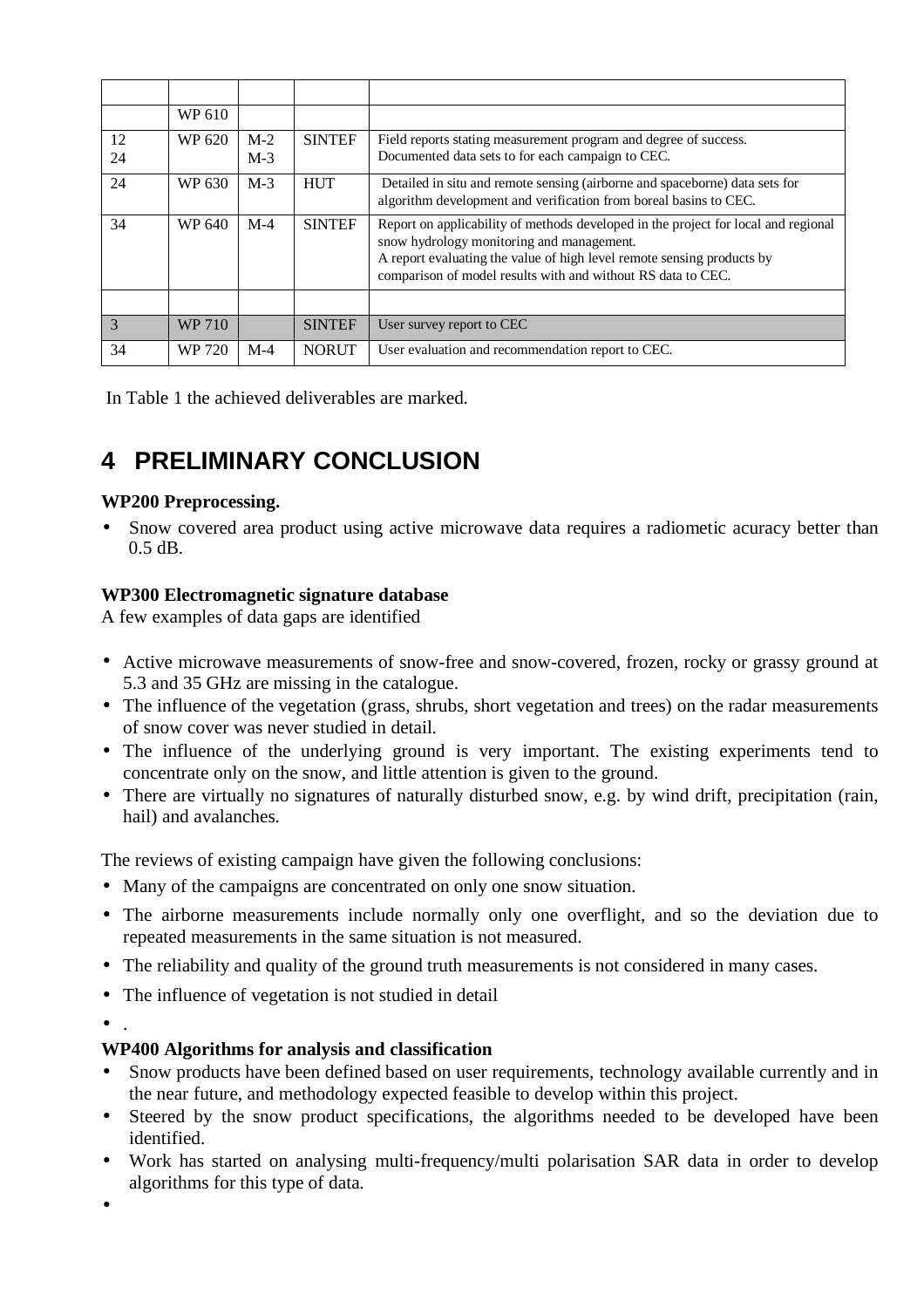|    | WP 610        |       |               |                                                                                                                                                                                                                                                                           |
|----|---------------|-------|---------------|---------------------------------------------------------------------------------------------------------------------------------------------------------------------------------------------------------------------------------------------------------------------------|
| 12 | WP 620        | $M-2$ | <b>SINTEF</b> | Field reports stating measurement program and degree of success.                                                                                                                                                                                                          |
| 24 |               | $M-3$ |               | Documented data sets to for each campaign to CEC.                                                                                                                                                                                                                         |
| 24 | WP 630        | $M-3$ | <b>HUT</b>    | Detailed in situ and remote sensing (airborne and spaceborne) data sets for<br>algorithm development and verification from boreal basins to CEC.                                                                                                                          |
| 34 | WP 640        | $M-4$ | <b>SINTEF</b> | Report on applicability of methods developed in the project for local and regional<br>snow hydrology monitoring and management.<br>A report evaluating the value of high level remote sensing products by<br>comparison of model results with and without RS data to CEC. |
|    |               |       |               |                                                                                                                                                                                                                                                                           |
| 3  | <b>WP 710</b> |       | <b>SINTEF</b> | User survey report to CEC                                                                                                                                                                                                                                                 |
| 34 | WP 720        | $M-4$ | <b>NORUT</b>  | User evaluation and recommendation report to CEC.                                                                                                                                                                                                                         |

In Table 1 the achieved deliverables are marked.

# **4 PRELIMINARY CONCLUSION**

### **WP200 Preprocessing.**

• Snow covered area product using active microwave data requires a radiometic acuracy better than 0.5 dB.

### **WP300 Electromagnetic signature database**

A few examples of data gaps are identified

- Active microwave measurements of snow-free and snow-covered, frozen, rocky or grassy ground at 5.3 and 35 GHz are missing in the catalogue.
- The influence of the vegetation (grass, shrubs, short vegetation and trees) on the radar measurements of snow cover was never studied in detail.
- The influence of the underlying ground is very important. The existing experiments tend to concentrate only on the snow, and little attention is given to the ground.
- There are virtually no signatures of naturally disturbed snow, e.g. by wind drift, precipitation (rain, hail) and avalanches.

The reviews of existing campaign have given the following conclusions:

- Many of the campaigns are concentrated on only one snow situation.
- The airborne measurements include normally only one overflight, and so the deviation due to repeated measurements in the same situation is not measured.
- The reliability and quality of the ground truth measurements is not considered in many cases.
- The influence of vegetation is not studied in detail
- .

### **WP400 Algorithms for analysis and classification**

- Snow products have been defined based on user requirements, technology available currently and in the near future, and methodology expected feasible to develop within this project.
- Steered by the snow product specifications, the algorithms needed to be developed have been identified.
- Work has started on analysing multi-frequency/multi polarisation SAR data in order to develop algorithms for this type of data.

•